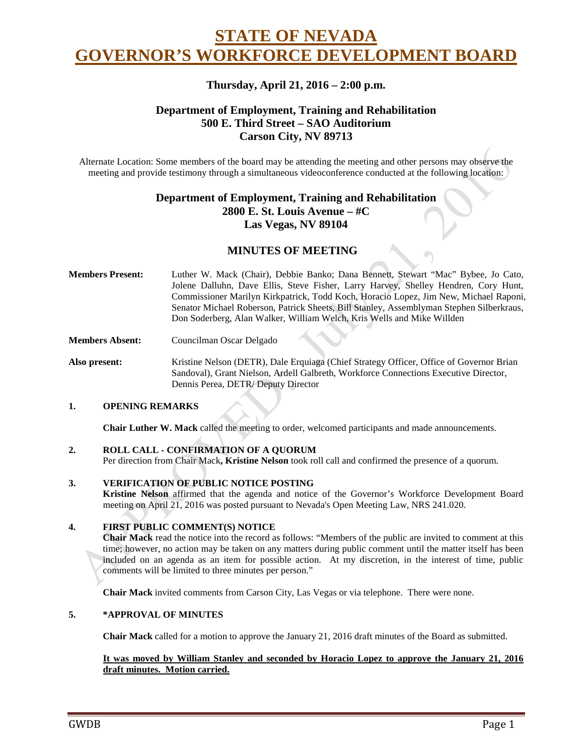# **STATE OF NEVADA GOVERNOR'S WORKFORCE DEVELOPMENT BOARD**

# **Thursday, April 21, 2016 – 2:00 p.m.**

# **Department of Employment, Training and Rehabilitation 500 E. Third Street – SAO Auditorium Carson City, NV 89713**

Alternate Location: Some members of the board may be attending the meeting and other persons may observe the meeting and provide testimony through a simultaneous videoconference conducted at the following location:

# **Department of Employment, Training and Rehabilitation 2800 E. St. Louis Avenue – #C Las Vegas, NV 89104**

# **MINUTES OF MEETING**

- **Members Present:** Luther W. Mack (Chair), Debbie Banko; Dana Bennett, Stewart "Mac" Bybee, Jo Cato, Jolene Dalluhn, Dave Ellis, Steve Fisher, Larry Harvey, Shelley Hendren, Cory Hunt, Commissioner Marilyn Kirkpatrick, Todd Koch, Horacio Lopez, Jim New, Michael Raponi, Senator Michael Roberson, Patrick Sheets, Bill Stanley, Assemblyman Stephen Silberkraus, Don Soderberg, Alan Walker, William Welch, Kris Wells and Mike Willden
- **Members Absent:** Councilman Oscar Delgado

**Also present:** Kristine Nelson (DETR), Dale Erquiaga (Chief Strategy Officer, Office of Governor Brian Sandoval), Grant Nielson, Ardell Galbreth, Workforce Connections Executive Director, Dennis Perea, DETR/ Deputy Director

#### **1. OPENING REMARKS**

**Chair Luther W. Mack** called the meeting to order, welcomed participants and made announcements.

#### **2. ROLL CALL - CONFIRMATION OF A QUORUM**

Per direction from Chair Mack**, Kristine Nelson** took roll call and confirmed the presence of a quorum.

#### **3. VERIFICATION OF PUBLIC NOTICE POSTING**

**Kristine Nelson** affirmed that the agenda and notice of the Governor's Workforce Development Board meeting on April 21, 2016 was posted pursuant to Nevada's Open Meeting Law, NRS 241.020.

# **4. FIRST PUBLIC COMMENT(S) NOTICE**

**Chair Mack** read the notice into the record as follows: "Members of the public are invited to comment at this time; however, no action may be taken on any matters during public comment until the matter itself has been included on an agenda as an item for possible action. At my discretion, in the interest of time, public comments will be limited to three minutes per person."

**Chair Mack** invited comments from Carson City, Las Vegas or via telephone. There were none.

#### **5. \*APPROVAL OF MINUTES**

**Chair Mack** called for a motion to approve the January 21, 2016 draft minutes of the Board as submitted.

#### **It was moved by William Stanley and seconded by Horacio Lopez to approve the January 21, 2016 draft minutes. Motion carried.**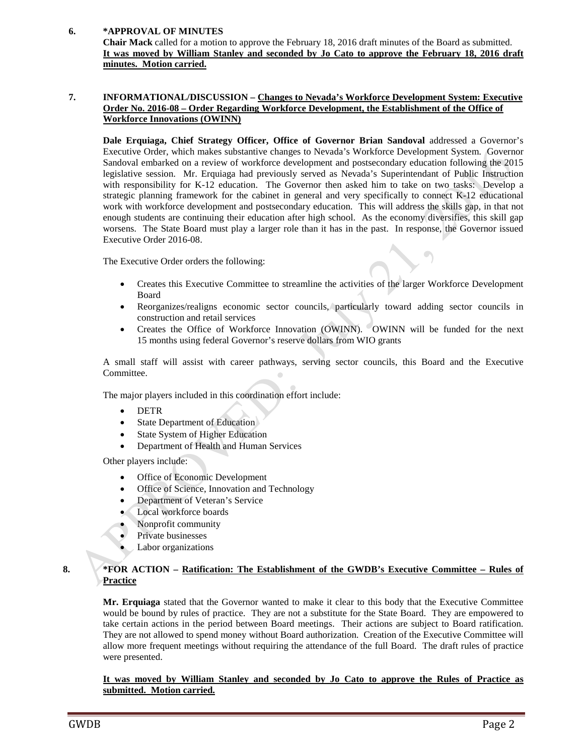# **6. \*APPROVAL OF MINUTES**

**Chair Mack** called for a motion to approve the February 18, 2016 draft minutes of the Board as submitted. **It was moved by William Stanley and seconded by Jo Cato to approve the February 18, 2016 draft minutes. Motion carried.** 

#### **7. INFORMATIONAL/DISCUSSION – Changes to Nevada's Workforce Development System: Executive Order No. 2016-08 – Order Regarding Workforce Development, the Establishment of the Office of Workforce Innovations (OWINN)**

**Dale Erquiaga, Chief Strategy Officer, Office of Governor Brian Sandoval** addressed a Governor's Executive Order, which makes substantive changes to Nevada's Workforce Development System. Governor Sandoval embarked on a review of workforce development and postsecondary education following the 2015 legislative session. Mr. Erquiaga had previously served as Nevada's Superintendant of Public Instruction with responsibility for K-12 education. The Governor then asked him to take on two tasks: Develop a strategic planning framework for the cabinet in general and very specifically to connect K-12 educational work with workforce development and postsecondary education. This will address the skills gap, in that not enough students are continuing their education after high school. As the economy diversifies, this skill gap worsens. The State Board must play a larger role than it has in the past. In response, the Governor issued Executive Order 2016-08.

The Executive Order orders the following:

- Creates this Executive Committee to streamline the activities of the larger Workforce Development Board
- Reorganizes/realigns economic sector councils, particularly toward adding sector councils in construction and retail services
- Creates the Office of Workforce Innovation (OWINN). OWINN will be funded for the next 15 months using federal Governor's reserve dollars from WIO grants

A small staff will assist with career pathways, serving sector councils, this Board and the Executive Committee.

The major players included in this coordination effort include:

- DETR
- State Department of Education
- State System of Higher Education
- Department of Health and Human Services

Other players include:

- Office of Economic Development
- Office of Science, Innovation and Technology
- Department of Veteran's Service
- Local workforce boards
- Nonprofit community
- Private businesses
	- Labor organizations

# **8. \*FOR ACTION – Ratification: The Establishment of the GWDB's Executive Committee – Rules of Practice**

**Mr. Erquiaga** stated that the Governor wanted to make it clear to this body that the Executive Committee would be bound by rules of practice. They are not a substitute for the State Board. They are empowered to take certain actions in the period between Board meetings. Their actions are subject to Board ratification. They are not allowed to spend money without Board authorization. Creation of the Executive Committee will allow more frequent meetings without requiring the attendance of the full Board. The draft rules of practice were presented.

**It was moved by William Stanley and seconded by Jo Cato to approve the Rules of Practice as submitted. Motion carried.**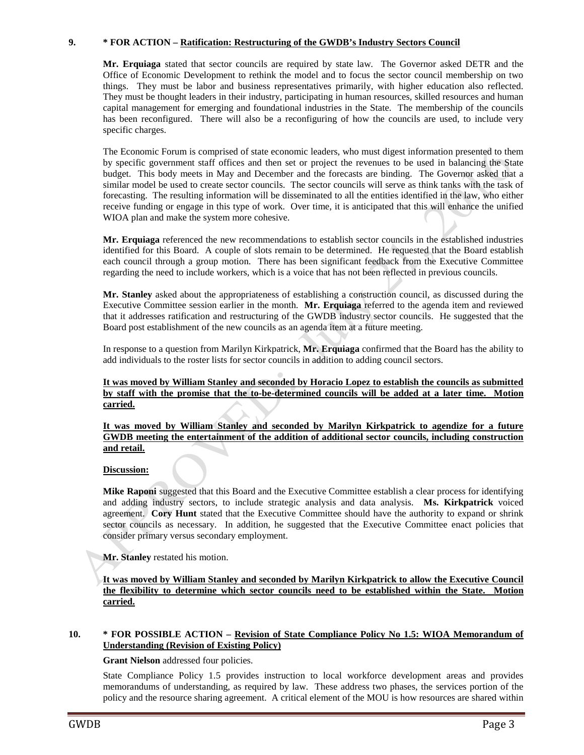# **9. \* FOR ACTION – Ratification: Restructuring of the GWDB's Industry Sectors Council**

**Mr. Erquiaga** stated that sector councils are required by state law. The Governor asked DETR and the Office of Economic Development to rethink the model and to focus the sector council membership on two things. They must be labor and business representatives primarily, with higher education also reflected. They must be thought leaders in their industry, participating in human resources, skilled resources and human capital management for emerging and foundational industries in the State. The membership of the councils has been reconfigured. There will also be a reconfiguring of how the councils are used, to include very specific charges.

The Economic Forum is comprised of state economic leaders, who must digest information presented to them by specific government staff offices and then set or project the revenues to be used in balancing the State budget. This body meets in May and December and the forecasts are binding. The Governor asked that a similar model be used to create sector councils. The sector councils will serve as think tanks with the task of forecasting. The resulting information will be disseminated to all the entities identified in the law, who either receive funding or engage in this type of work. Over time, it is anticipated that this will enhance the unified WIOA plan and make the system more cohesive.

**Mr. Erquiaga** referenced the new recommendations to establish sector councils in the established industries identified for this Board. A couple of slots remain to be determined. He requested that the Board establish each council through a group motion. There has been significant feedback from the Executive Committee regarding the need to include workers, which is a voice that has not been reflected in previous councils.

**Mr. Stanley** asked about the appropriateness of establishing a construction council, as discussed during the Executive Committee session earlier in the month. **Mr. Erquiaga** referred to the agenda item and reviewed that it addresses ratification and restructuring of the GWDB industry sector councils. He suggested that the Board post establishment of the new councils as an agenda item at a future meeting.

In response to a question from Marilyn Kirkpatrick, **Mr. Erquiaga** confirmed that the Board has the ability to add individuals to the roster lists for sector councils in addition to adding council sectors.

**It was moved by William Stanley and seconded by Horacio Lopez to establish the councils as submitted by staff with the promise that the to-be-determined councils will be added at a later time. Motion carried.** 

**It was moved by William Stanley and seconded by Marilyn Kirkpatrick to agendize for a future GWDB meeting the entertainment of the addition of additional sector councils, including construction and retail.**

#### **Discussion:**

**Mike Raponi** suggested that this Board and the Executive Committee establish a clear process for identifying and adding industry sectors, to include strategic analysis and data analysis. **Ms. Kirkpatrick** voiced agreement. **Cory Hunt** stated that the Executive Committee should have the authority to expand or shrink sector councils as necessary. In addition, he suggested that the Executive Committee enact policies that consider primary versus secondary employment.

**Mr. Stanley** restated his motion.

**It was moved by William Stanley and seconded by Marilyn Kirkpatrick to allow the Executive Council the flexibility to determine which sector councils need to be established within the State. Motion carried.** 

#### **10. \* FOR POSSIBLE ACTION – Revision of State Compliance Policy No 1.5: WIOA Memorandum of Understanding (Revision of Existing Policy)**

#### **Grant Nielson** addressed four policies.

State Compliance Policy 1.5 provides instruction to local workforce development areas and provides memorandums of understanding, as required by law. These address two phases, the services portion of the policy and the resource sharing agreement. A critical element of the MOU is how resources are shared within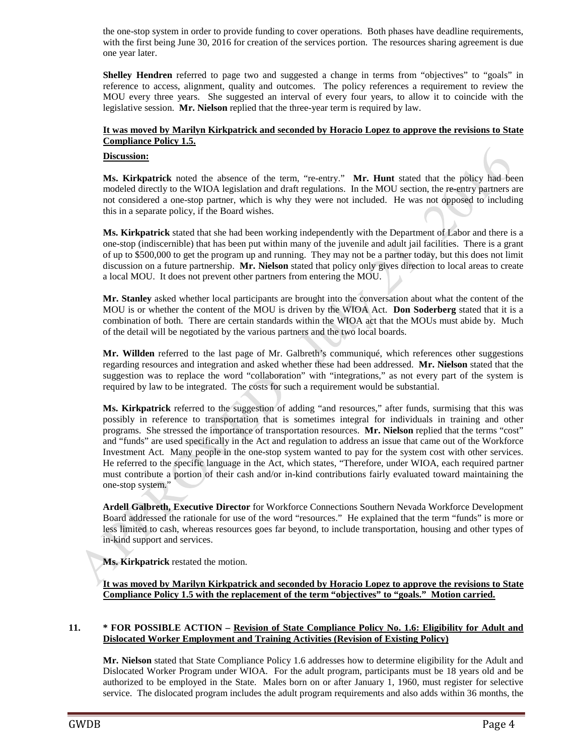the one-stop system in order to provide funding to cover operations. Both phases have deadline requirements, with the first being June 30, 2016 for creation of the services portion. The resources sharing agreement is due one year later.

**Shelley Hendren** referred to page two and suggested a change in terms from "objectives" to "goals" in reference to access, alignment, quality and outcomes. The policy references a requirement to review the MOU every three years. She suggested an interval of every four years, to allow it to coincide with the legislative session. **Mr. Nielson** replied that the three-year term is required by law.

# **It was moved by Marilyn Kirkpatrick and seconded by Horacio Lopez to approve the revisions to State Compliance Policy 1.5.**

#### **Discussion:**

**Ms. Kirkpatrick** noted the absence of the term, "re-entry." **Mr. Hunt** stated that the policy had been modeled directly to the WIOA legislation and draft regulations. In the MOU section, the re-entry partners are not considered a one-stop partner, which is why they were not included. He was not opposed to including this in a separate policy, if the Board wishes.

**Ms. Kirkpatrick** stated that she had been working independently with the Department of Labor and there is a one-stop (indiscernible) that has been put within many of the juvenile and adult jail facilities. There is a grant of up to \$500,000 to get the program up and running. They may not be a partner today, but this does not limit discussion on a future partnership. **Mr. Nielson** stated that policy only gives direction to local areas to create a local MOU. It does not prevent other partners from entering the MOU.

**Mr. Stanley** asked whether local participants are brought into the conversation about what the content of the MOU is or whether the content of the MOU is driven by the WIOA Act. **Don Soderberg** stated that it is a combination of both. There are certain standards within the WIOA act that the MOUs must abide by. Much of the detail will be negotiated by the various partners and the two local boards.

**Mr. Willden** referred to the last page of Mr. Galbreth's communiqué, which references other suggestions regarding resources and integration and asked whether these had been addressed. **Mr. Nielson** stated that the suggestion was to replace the word "collaboration" with "integrations," as not every part of the system is required by law to be integrated. The costs for such a requirement would be substantial.

**Ms. Kirkpatrick** referred to the suggestion of adding "and resources," after funds, surmising that this was possibly in reference to transportation that is sometimes integral for individuals in training and other programs. She stressed the importance of transportation resources. **Mr. Nielson** replied that the terms "cost" and "funds" are used specifically in the Act and regulation to address an issue that came out of the Workforce Investment Act. Many people in the one-stop system wanted to pay for the system cost with other services. He referred to the specific language in the Act, which states, "Therefore, under WIOA, each required partner must contribute a portion of their cash and/or in-kind contributions fairly evaluated toward maintaining the one-stop system."

**Ardell Galbreth, Executive Director** for Workforce Connections Southern Nevada Workforce Development Board addressed the rationale for use of the word "resources." He explained that the term "funds" is more or less limited to cash, whereas resources goes far beyond, to include transportation, housing and other types of in-kind support and services.

**Ms. Kirkpatrick** restated the motion.

# **It was moved by Marilyn Kirkpatrick and seconded by Horacio Lopez to approve the revisions to State Compliance Policy 1.5 with the replacement of the term "objectives" to "goals." Motion carried.**

#### **11. \* FOR POSSIBLE ACTION – Revision of State Compliance Policy No. 1.6: Eligibility for Adult and Dislocated Worker Employment and Training Activities (Revision of Existing Policy)**

**Mr. Nielson** stated that State Compliance Policy 1.6 addresses how to determine eligibility for the Adult and Dislocated Worker Program under WIOA. For the adult program, participants must be 18 years old and be authorized to be employed in the State. Males born on or after January 1, 1960, must register for selective service. The dislocated program includes the adult program requirements and also adds within 36 months, the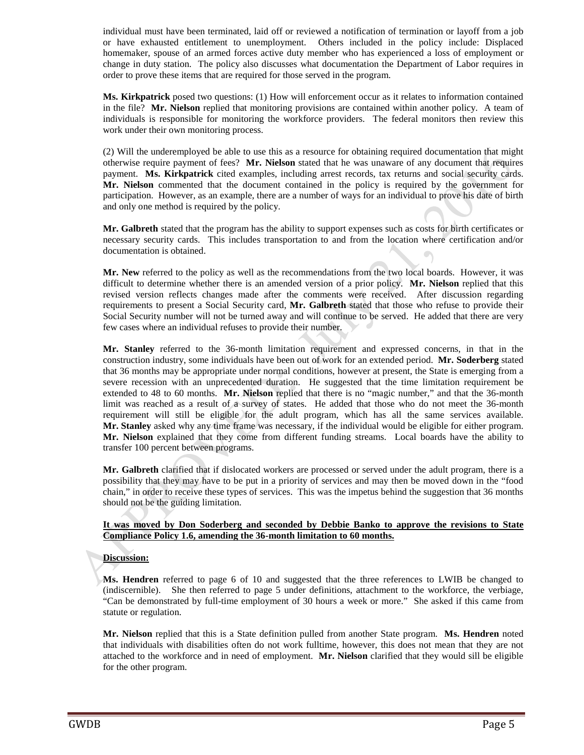individual must have been terminated, laid off or reviewed a notification of termination or layoff from a job or have exhausted entitlement to unemployment. Others included in the policy include: Displaced homemaker, spouse of an armed forces active duty member who has experienced a loss of employment or change in duty station. The policy also discusses what documentation the Department of Labor requires in order to prove these items that are required for those served in the program.

**Ms. Kirkpatrick** posed two questions: (1) How will enforcement occur as it relates to information contained in the file? **Mr. Nielson** replied that monitoring provisions are contained within another policy. A team of individuals is responsible for monitoring the workforce providers. The federal monitors then review this work under their own monitoring process.

(2) Will the underemployed be able to use this as a resource for obtaining required documentation that might otherwise require payment of fees? **Mr. Nielson** stated that he was unaware of any document that requires payment. **Ms. Kirkpatrick** cited examples, including arrest records, tax returns and social security cards. **Mr. Nielson** commented that the document contained in the policy is required by the government for participation. However, as an example, there are a number of ways for an individual to prove his date of birth and only one method is required by the policy.

**Mr. Galbreth** stated that the program has the ability to support expenses such as costs for birth certificates or necessary security cards. This includes transportation to and from the location where certification and/or documentation is obtained.

**Mr. New** referred to the policy as well as the recommendations from the two local boards. However, it was difficult to determine whether there is an amended version of a prior policy. **Mr. Nielson** replied that this revised version reflects changes made after the comments were received. After discussion regarding requirements to present a Social Security card, **Mr. Galbreth** stated that those who refuse to provide their Social Security number will not be turned away and will continue to be served. He added that there are very few cases where an individual refuses to provide their number.

**Mr. Stanley** referred to the 36-month limitation requirement and expressed concerns, in that in the construction industry, some individuals have been out of work for an extended period. **Mr. Soderberg** stated that 36 months may be appropriate under normal conditions, however at present, the State is emerging from a severe recession with an unprecedented duration. He suggested that the time limitation requirement be extended to 48 to 60 months. **Mr. Nielson** replied that there is no "magic number," and that the 36-month limit was reached as a result of a survey of states. He added that those who do not meet the 36-month requirement will still be eligible for the adult program, which has all the same services available. **Mr. Stanley** asked why any time frame was necessary, if the individual would be eligible for either program. **Mr. Nielson** explained that they come from different funding streams. Local boards have the ability to transfer 100 percent between programs.

**Mr. Galbreth** clarified that if dislocated workers are processed or served under the adult program, there is a possibility that they may have to be put in a priority of services and may then be moved down in the "food chain," in order to receive these types of services. This was the impetus behind the suggestion that 36 months should not be the guiding limitation.

# **It was moved by Don Soderberg and seconded by Debbie Banko to approve the revisions to State Compliance Policy 1.6, amending the 36-month limitation to 60 months.**

#### **Discussion:**

**Ms. Hendren** referred to page 6 of 10 and suggested that the three references to LWIB be changed to (indiscernible). She then referred to page 5 under definitions, attachment to the workforce, the verbiage, "Can be demonstrated by full-time employment of 30 hours a week or more." She asked if this came from statute or regulation.

**Mr. Nielson** replied that this is a State definition pulled from another State program. **Ms. Hendren** noted that individuals with disabilities often do not work fulltime, however, this does not mean that they are not attached to the workforce and in need of employment. **Mr. Nielson** clarified that they would sill be eligible for the other program.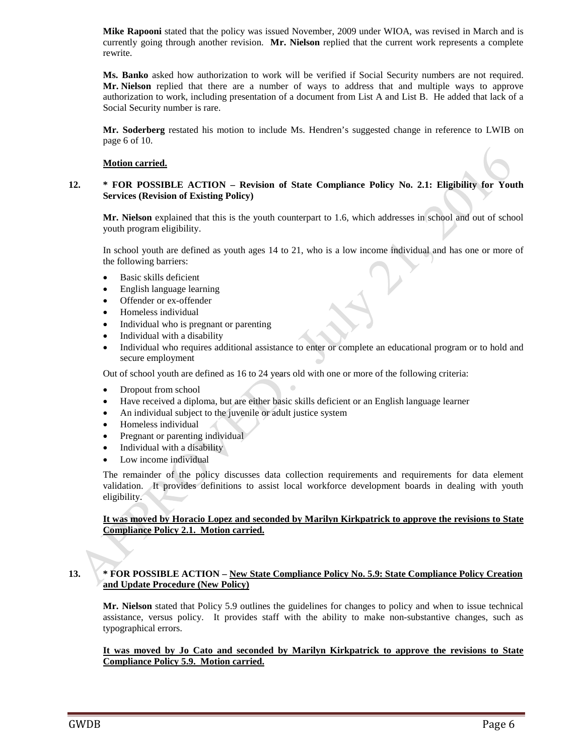**Mike Rapooni** stated that the policy was issued November, 2009 under WIOA, was revised in March and is currently going through another revision. **Mr. Nielson** replied that the current work represents a complete rewrite.

**Ms. Banko** asked how authorization to work will be verified if Social Security numbers are not required. **Mr. Nielson** replied that there are a number of ways to address that and multiple ways to approve authorization to work, including presentation of a document from List A and List B. He added that lack of a Social Security number is rare.

**Mr. Soderberg** restated his motion to include Ms. Hendren's suggested change in reference to LWIB on page 6 of 10.

#### **Motion carried.**

#### **12. \* FOR POSSIBLE ACTION – Revision of State Compliance Policy No. 2.1: Eligibility for Youth Services (Revision of Existing Policy)**

**Mr. Nielson** explained that this is the youth counterpart to 1.6, which addresses in school and out of school youth program eligibility.

In school youth are defined as youth ages 14 to 21, who is a low income individual and has one or more of the following barriers:

- Basic skills deficient
- English language learning
- Offender or ex-offender
- Homeless individual
- Individual who is pregnant or parenting
- Individual with a disability
- Individual who requires additional assistance to enter or complete an educational program or to hold and secure employment

Out of school youth are defined as 16 to 24 years old with one or more of the following criteria:

- Dropout from school
- Have received a diploma, but are either basic skills deficient or an English language learner
- An individual subject to the juvenile or adult justice system
- Homeless individual
- Pregnant or parenting individual
- Individual with a disability
- Low income individual

The remainder of the policy discusses data collection requirements and requirements for data element validation. It provides definitions to assist local workforce development boards in dealing with youth eligibility.

#### **It was moved by Horacio Lopez and seconded by Marilyn Kirkpatrick to approve the revisions to State Compliance Policy 2.1. Motion carried.**

# **13. \* FOR POSSIBLE ACTION – New State Compliance Policy No. 5.9: State Compliance Policy Creation and Update Procedure (New Policy)**

**Mr. Nielson** stated that Policy 5.9 outlines the guidelines for changes to policy and when to issue technical assistance, versus policy. It provides staff with the ability to make non-substantive changes, such as typographical errors.

#### **It was moved by Jo Cato and seconded by Marilyn Kirkpatrick to approve the revisions to State Compliance Policy 5.9. Motion carried.**